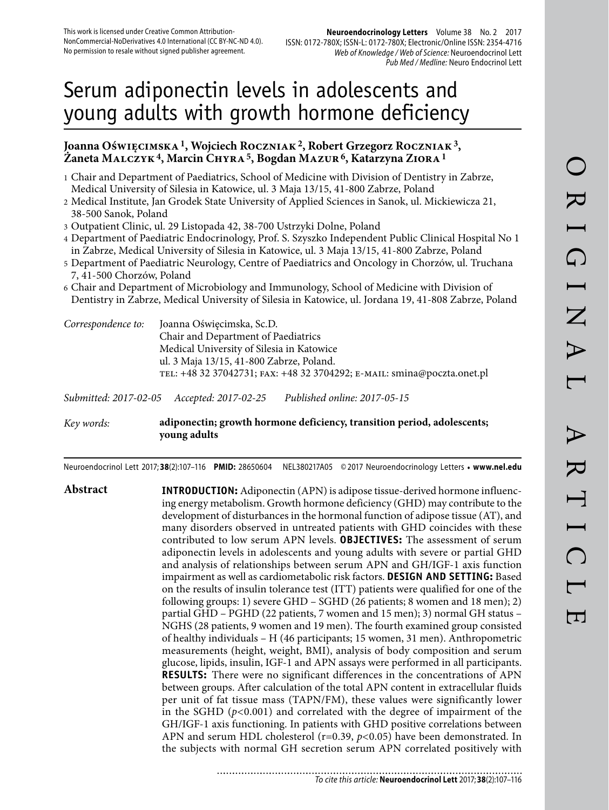# Serum adiponectin levels in adolescents and young adults with growth hormone deficiency

## **Joanna Oświęcimska 1, Wojciech Roczniak 2, Robert Grzegorz Roczniak 3, Żaneta Malczyk 4, Marcin Chyra 5, Bogdan Mazur 6, Katarzyna Ziora 1**

- 1 Chair and Department of Paediatrics, School of Medicine with Division of Dentistry in Zabrze, Medical University of Silesia in Katowice, ul. 3 Maja 13/15, 41-800 Zabrze, Poland
- 2 Medical Institute, Jan Grodek State University of Applied Sciences in Sanok, ul. Mickiewicza 21, 38-500 Sanok, Poland
- 3 Outpatient Clinic, ul. 29 Listopada 42, 38-700 Ustrzyki Dolne, Poland
- 4 Department of Paediatric Endocrinology, Prof. S. Szyszko Independent Public Clinical Hospital No 1 in Zabrze, Medical University of Silesia in Katowice, ul. 3 Maja 13/15, 41-800 Zabrze, Poland
- 5 Department of Paediatric Neurology, Centre of Paediatrics and Oncology in Chorzów, ul. Truchana 7, 41-500 Chorzów, Poland
- 6 Chair and Department of Microbiology and Immunology, School of Medicine with Division of Dentistry in Zabrze, Medical University of Silesia in Katowice, ul. Jordana 19, 41-808 Zabrze, Poland

| Correspondence to: | Joanna Oświęcimska, Sc.D.                                               |
|--------------------|-------------------------------------------------------------------------|
|                    | Chair and Department of Paediatrics                                     |
|                    | Medical University of Silesia in Katowice                               |
|                    | ul. 3 Maja 13/15, 41-800 Zabrze, Poland.                                |
|                    | TEL: +48 32 37042731; FAX: +48 32 3704292; E-MAIL: smina@poczta.onet.pl |
|                    |                                                                         |

*Submitted: 2017-02-05 Accepted: 2017-02-25 Published online: 2017-05-15*

## *Key words:* **adiponectin; growth hormone deficiency, transition period, adolescents; young adults**

Neuroendocrinol Lett 2017; **38**(2):107–116 **PMID:** 28650604 NEL380217A05 © 2017 Neuroendocrinology Letters • **www.nel.edu**

**Abstract INTRODUCTION:** Adiponectin (APN) is adipose tissue-derived hormone influencing energy metabolism. Growth hormone deficiency (GHD) may contribute to the development of disturbances in the hormonal function of adipose tissue (AT), and many disorders observed in untreated patients with GHD coincides with these contributed to low serum APN levels. **OBJECTIVES:** The assessment of serum adiponectin levels in adolescents and young adults with severe or partial GHD and analysis of relationships between serum APN and GH/IGF-1 axis function impairment as well as cardiometabolic risk factors. **DESIGN AND SETTING:** Based on the results of insulin tolerance test (ITT) patients were qualified for one of the following groups: 1) severe GHD – SGHD (26 patients; 8 women and 18 men); 2) partial GHD – PGHD (22 patients, 7 women and 15 men); 3) normal GH status – NGHS (28 patients, 9 women and 19 men). The fourth examined group consisted of healthy individuals – H (46 participants; 15 women, 31 men). Anthropometric measurements (height, weight, BMI), analysis of body composition and serum glucose, lipids, insulin, IGF-1 and APN assays were performed in all participants. **RESULTS:** There were no significant differences in the concentrations of APN between groups. After calculation of the total APN content in extracellular fluids per unit of fat tissue mass (TAPN/FM), these values were significantly lower in the SGHD (*p<*0.001) and correlated with the degree of impairment of the GH/IGF-1 axis functioning. In patients with GHD positive correlations between APN and serum HDL cholesterol (r=0.39, *p<*0.05) have been demonstrated. In the subjects with normal GH secretion serum APN correlated positively with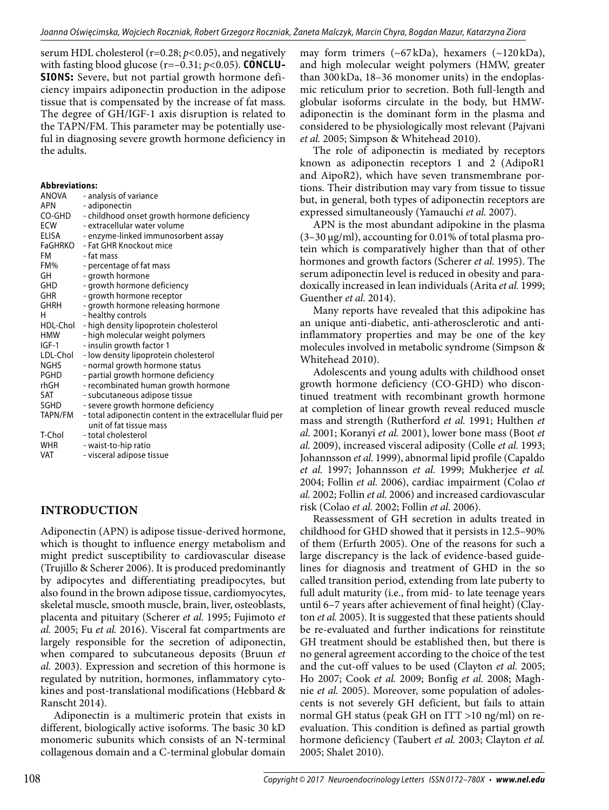serum HDL cholesterol (r=0.28; *p<*0.05), and negatively with fasting blood glucose (r=–0.31; *p<*0.05). **CONCLU-SIONS:** Severe, but not partial growth hormone deficiency impairs adiponectin production in the adipose tissue that is compensated by the increase of fat mass. The degree of GH/IGF-1 axis disruption is related to the TAPN/FM. This parameter may be potentially useful in diagnosing severe growth hormone deficiency in the adults.

#### **Abbreviations:**

| ANOVA        | - analysis of variance                                     |
|--------------|------------------------------------------------------------|
| <b>APN</b>   | - adiponectin                                              |
| CO-GHD       | - childhood onset growth hormone deficiency                |
| <b>ECW</b>   | - extracellular water volume                               |
| <b>ELISA</b> | - enzyme-linked immunosorbent assay                        |
| FaGHRKO      | - Fat GHR Knockout mice                                    |
| FM           | - fat mass                                                 |
| FM%          | - percentage of fat mass                                   |
| GH           | - growth hormone                                           |
| GHD          | - growth hormone deficiency                                |
| <b>GHR</b>   | - growth hormone receptor                                  |
| <b>GHRH</b>  | - growth hormone releasing hormone                         |
| н            | - healthy controls                                         |
| HDL-Chol     | - high density lipoprotein cholesterol                     |
| <b>HMW</b>   | - high molecular weight polymers                           |
| $IGF-1$      | - insulin growth factor 1                                  |
| LDL-Chol     | - low density lipoprotein cholesterol                      |
| <b>NGHS</b>  | - normal growth hormone status                             |
| <b>PGHD</b>  | - partial growth hormone deficiency                        |
| rhGH         | - recombinated human growth hormone                        |
| SAT          | - subcutaneous adipose tissue                              |
| SGHD         | - severe growth hormone deficiency                         |
| TAPN/FM      | - total adiponectin content in the extracellular fluid per |
|              | unit of fat tissue mass                                    |
| T-Chol       | - total cholesterol                                        |
| <b>WHR</b>   | - waist-to-hip ratio                                       |
| VAT          | - visceral adipose tissue                                  |

## **INTRODUCTION**

Adiponectin (APN) is adipose tissue-derived hormone, which is thought to influence energy metabolism and might predict susceptibility to cardiovascular disease (Trujillo & Scherer 2006). It is produced predominantly by adipocytes and differentiating preadipocytes, but also found in the brown adipose tissue, cardiomyocytes, skeletal muscle, smooth muscle, brain, liver, osteoblasts, placenta and pituitary (Scherer *et al.* 1995; Fujimoto *et al.* 2005; Fu *et al.* 2016). Visceral fat compartments are largely responsible for the secretion of adiponectin, when compared to subcutaneous deposits (Bruun *et al.* 2003). Expression and secretion of this hormone is regulated by nutrition, hormones, inflammatory cytokines and post-translational modifications (Hebbard & Ranscht 2014).

Adiponectin is a multimeric protein that exists in different, biologically active isoforms. The basic 30 kD monomeric subunits which consists of an N-terminal collagenous domain and a C-terminal globular domain

may form trimers  $({\sim}67 \text{ kDa})$ , hexamers  $({\sim}120 \text{ kDa})$ , and high molecular weight polymers (HMW, greater than 300 kDa, 18–36 monomer units) in the endoplasmic reticulum prior to secretion. Both full-length and globular isoforms circulate in the body, but HMWadiponectin is the dominant form in the plasma and considered to be physiologically most relevant (Pajvani *et al.* 2005; Simpson & Whitehead 2010).

The role of adiponectin is mediated by receptors known as adiponectin receptors 1 and 2 (AdipoR1 and AipoR2), which have seven transmembrane portions. Their distribution may vary from tissue to tissue but, in general, both types of adiponectin receptors are expressed simultaneously (Yamauchi *et al.* 2007).

APN is the most abundant adipokine in the plasma (3–30 μg/ml), accounting for 0.01% of total plasma protein which is comparatively higher than that of other hormones and growth factors (Scherer *et al.* 1995). The serum adiponectin level is reduced in obesity and paradoxically increased in lean individuals (Arita *et al.* 1999; Guenther *et al.* 2014).

Many reports have revealed that this adipokine has an unique anti-diabetic, anti-atherosclerotic and antiinflammatory properties and may be one of the key molecules involved in metabolic syndrome (Simpson & Whitehead 2010).

Adolescents and young adults with childhood onset growth hormone deficiency (CO-GHD) who discontinued treatment with recombinant growth hormone at completion of linear growth reveal reduced muscle mass and strength (Rutherford *et al.* 1991; Hulthen *et al.* 2001; Koranyi *et al.* 2001), lower bone mass (Boot *et al.* 2009), increased visceral adiposity (Colle *et al.* 1993; Johannsson *et al.* 1999), abnormal lipid profile (Capaldo *et al.* 1997; Johannsson *et al.* 1999; Mukherjee *et al.*  2004; Follin *et al.* 2006), cardiac impairment (Colao *et al.* 2002; Follin *et al.* 2006) and increased cardiovascular risk (Colao *et al.* 2002; Follin *et al.* 2006).

Reassessment of GH secretion in adults treated in childhood for GHD showed that it persists in 12.5–90% of them (Erfurth 2005). One of the reasons for such a large discrepancy is the lack of evidence-based guidelines for diagnosis and treatment of GHD in the so called transition period, extending from late puberty to full adult maturity (i.e., from mid- to late teenage years until 6–7 years after achievement of final height) (Clayton *et al.* 2005). It is suggested that these patients should be re-evaluated and further indications for reinstitute GH treatment should be established then, but there is no general agreement according to the choice of the test and the cut-off values to be used (Clayton *et al.* 2005; Ho 2007; Cook *et al.* 2009; Bonfig *et al.* 2008; Maghnie *et al.* 2005). Moreover, some population of adolescents is not severely GH deficient, but fails to attain normal GH status (peak GH on ITT >10 ng/ml) on reevaluation. This condition is defined as partial growth hormone deficiency (Taubert *et al.* 2003; Clayton *et al.*  2005; Shalet 2010).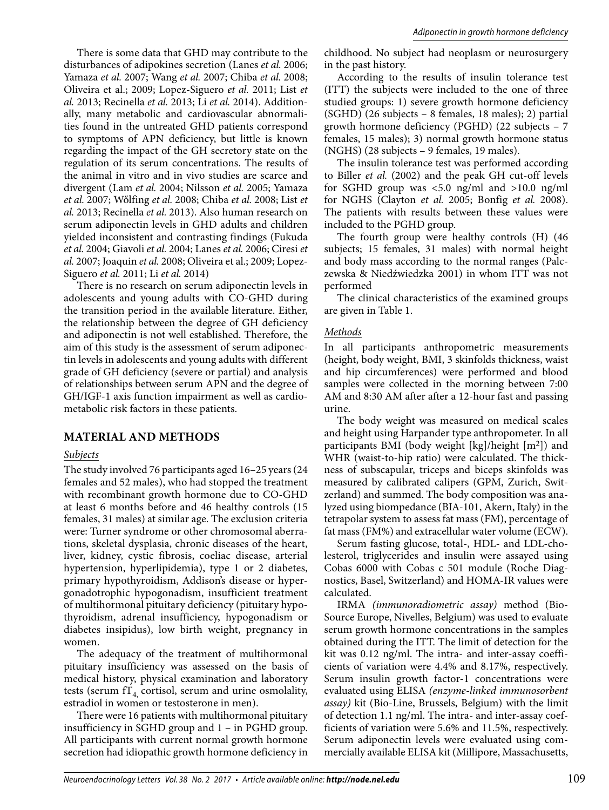There is some data that GHD may contribute to the disturbances of adipokines secretion (Lanes *et al.* 2006; Yamaza *et al.* 2007; Wang *et al.* 2007; Chiba *et al.* 2008; Oliveira et al.; 2009; Lopez-Siguero *et al.* 2011; List *et al.* 2013; Recinella *et al.* 2013; Li *et al.* 2014). Additionally, many metabolic and cardiovascular abnormalities found in the untreated GHD patients correspond to symptoms of APN deficiency, but little is known regarding the impact of the GH secretory state on the regulation of its serum concentrations. The results of the animal in vitro and in vivo studies are scarce and divergent (Lam *et al.* 2004; Nilsson *et al.* 2005; Yamaza *et al.* 2007; Wőlfing *et al.* 2008; Chiba *et al.* 2008; List *et al.* 2013; Recinella *et al.* 2013). Also human research on serum adiponectin levels in GHD adults and children yielded inconsistent and contrasting findings (Fukuda *et al.* 2004; Giavoli *et al.* 2004; Lanes *et al.* 2006; Ciresi *et al.* 2007; Joaquin *et al.* 2008; Oliveira et al.; 2009; Lopez-Siguero *et al.* 2011; Li *et al.* 2014)

There is no research on serum adiponectin levels in adolescents and young adults with CO-GHD during the transition period in the available literature. Either, the relationship between the degree of GH deficiency and adiponectin is not well established. Therefore, the aim of this study is the assessment of serum adiponectin levels in adolescents and young adults with different grade of GH deficiency (severe or partial) and analysis of relationships between serum APN and the degree of GH/IGF-1 axis function impairment as well as cardiometabolic risk factors in these patients.

## **MATERIAL AND METHODS**

#### *Subjects*

The study involved 76 participants aged 16–25 years (24 females and 52 males), who had stopped the treatment with recombinant growth hormone due to CO-GHD at least 6 months before and 46 healthy controls (15 females, 31 males) at similar age. The exclusion criteria were: Turner syndrome or other chromosomal aberrations, skeletal dysplasia, chronic diseases of the heart, liver, kidney, cystic fibrosis, coeliac disease, arterial hypertension, hyperlipidemia), type 1 or 2 diabetes, primary hypothyroidism, Addison's disease or hypergonadotrophic hypogonadism, insufficient treatment of multihormonal pituitary deficiency (pituitary hypothyroidism, adrenal insufficiency, hypogonadism or diabetes insipidus), low birth weight, pregnancy in women.

The adequacy of the treatment of multihormonal pituitary insufficiency was assessed on the basis of medical history, physical examination and laboratory tests (serum  $f_{4}$ , cortisol, serum and urine osmolality, estradiol in women or testosterone in men).

There were 16 patients with multihormonal pituitary insufficiency in SGHD group and 1 – in PGHD group. All participants with current normal growth hormone secretion had idiopathic growth hormone deficiency in childhood. No subject had neoplasm or neurosurgery in the past history.

According to the results of insulin tolerance test (ITT) the subjects were included to the one of three studied groups: 1) severe growth hormone deficiency (SGHD) (26 subjects – 8 females, 18 males); 2) partial growth hormone deficiency (PGHD) (22 subjects – 7 females, 15 males); 3) normal growth hormone status (NGHS) (28 subjects – 9 females, 19 males).

The insulin tolerance test was performed according to Biller *et al.* (2002) and the peak GH cut-off levels for SGHD group was <5.0 ng/ml and >10.0 ng/ml for NGHS (Clayton *et al.* 2005; Bonfig *et al.* 2008). The patients with results between these values were included to the PGHD group.

The fourth group were healthy controls (H) (46 subjects; 15 females, 31 males) with normal height and body mass according to the normal ranges (Palczewska & Niedźwiedzka 2001) in whom ITT was not performed

The clinical characteristics of the examined groups are given in Table 1.

#### *Methods*

In all participants anthropometric measurements (height, body weight, BMI, 3 skinfolds thickness, waist and hip circumferences) were performed and blood samples were collected in the morning between 7:00 AM and 8:30 AM after after a 12-hour fast and passing urine.

The body weight was measured on medical scales and height using Harpander type anthropometer. In all participants BMI (body weight [kg]/height [m2]) and WHR (waist-to-hip ratio) were calculated. The thickness of subscapular, triceps and biceps skinfolds was measured by calibrated calipers (GPM, Zurich, Switzerland) and summed. The body composition was analyzed using biompedance (BIA-101, Akern, Italy) in the tetrapolar system to assess fat mass (FM), percentage of fat mass (FM%) and extracellular water volume (ECW).

Serum fasting glucose, total-, HDL- and LDL-cholesterol, triglycerides and insulin were assayed using Cobas 6000 with Cobas c 501 module (Roche Diagnostics, Basel, Switzerland) and HOMA-IR values were calculated.

IRMA *(immunoradiometric assay)* method (Bio-Source Europe, Nivelles, Belgium) was used to evaluate serum growth hormone concentrations in the samples obtained during the ITT. The limit of detection for the kit was 0.12 ng/ml. The intra- and inter-assay coefficients of variation were 4.4% and 8.17%, respectively. Serum insulin growth factor-1 concentrations were evaluated using ELISA *(enzyme-linked immunosorbent assay)* kit (Bio-Line, Brussels, Belgium) with the limit of detection 1.1 ng/ml. The intra- and inter-assay coefficients of variation were 5.6% and 11.5%, respectively. Serum adiponectin levels were evaluated using commercially available ELISA kit (Millipore, Massachusetts,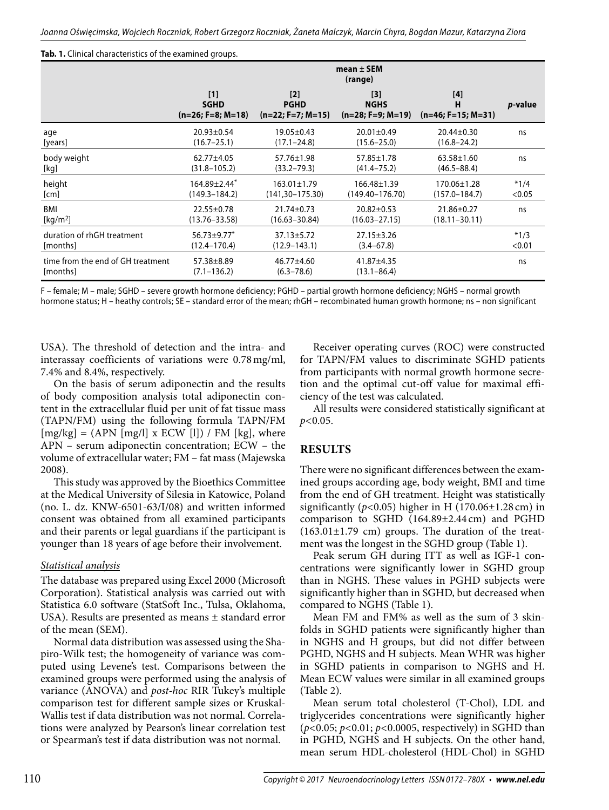#### **Tab. 1.** Clinical characteristics of the examined groups.

|                                               | $mean \pm SEM$<br>(range)                   |                                           |                                             |                                  |                 |  |  |
|-----------------------------------------------|---------------------------------------------|-------------------------------------------|---------------------------------------------|----------------------------------|-----------------|--|--|
|                                               | $[1]$<br><b>SGHD</b><br>$(n=26; F=8; M=18)$ | [2]<br><b>PGHD</b><br>$(n=22; F=7; M=15)$ | $[3]$<br><b>NGHS</b><br>$(n=28; F=9; M=19)$ | [4]<br>н<br>$(n=46; F=15; M=31)$ | <i>p</i> -value |  |  |
| age                                           | $20.93 \pm 0.54$                            | $19.05 \pm 0.43$                          | $20.01 \pm 0.49$                            | $20.44 \pm 0.30$                 | ns              |  |  |
| [years]                                       | $(16.7 - 25.1)$                             | $(17.1 - 24.8)$                           | $(15.6 - 25.0)$                             | $(16.8 - 24.2)$                  |                 |  |  |
| body weight                                   | $62.77 \pm 4.05$                            | 57.76±1.98                                | 57.85±1.78                                  | $63.58 \pm 1.60$                 | ns              |  |  |
| [kg]                                          | $(31.8 - 105.2)$                            | $(33.2 - 79.3)$                           | $(41.4 - 75.2)$                             | $(46.5 - 88.4)$                  |                 |  |  |
| height                                        | $164.89 \pm 2.44$ <sup>*</sup>              | $163.01 \pm 1.79$                         | $166.48 \pm 1.39$                           | 170.06±1.28                      | $*1/4$          |  |  |
| [cm]                                          | $(149.3 - 184.2)$                           | $(141, 30 - 175.30)$                      | (149.40–176.70)                             | $(157.0 - 184.7)$                | < 0.05          |  |  |
| BMI                                           | $22.55 \pm 0.78$                            | $21.74 \pm 0.73$                          | $20.82 \pm 0.53$                            | 21.86±0.27                       | ns              |  |  |
| $\left[\text{kg}/\text{m}^2\right]$           | $(13.76 - 33.58)$                           | $(16.63 - 30.84)$                         | $(16.03 - 27.15)$                           | $(18.11 - 30.11)$                |                 |  |  |
| duration of rhGH treatment                    | $56.73 \pm 9.77$ *                          | $37.13 \pm 5.72$                          | $27.15 \pm 3.26$                            |                                  | $*1/3$          |  |  |
| [months]                                      | $(12.4 - 170.4)$                            | $(12.9 - 143.1)$                          | $(3.4 - 67.8)$                              |                                  | < 0.01          |  |  |
| time from the end of GH treatment<br>[months] | $57.38 \pm 8.89$<br>$(7.1 - 136.2)$         | 46.77±4.60<br>$(6.3 - 78.6)$              | 41.87±4.35<br>$(13.1 - 86.4)$               |                                  | ns              |  |  |

F – female; M – male; SGHD – severe growth hormone deficiency; PGHD – partial growth hormone deficiency; NGHS – normal growth hormone status; H – heathy controls; SE – standard error of the mean; rhGH – recombinated human growth hormone; ns – non significant

USA). The threshold of detection and the intra- and interassay coefficients of variations were 0.78 mg/ml, 7.4% and 8.4%, respectively.

On the basis of serum adiponectin and the results of body composition analysis total adiponectin content in the extracellular fluid per unit of fat tissue mass (TAPN/FM) using the following formula TAPN/FM  $[mg/kg] = (APN [mg/l] x ECW [l]) / FM [kg]$ , where APN – serum adiponectin concentration; ECW – the volume of extracellular water; FM – fat mass (Majewska 2008).

This study was approved by the Bioethics Committee at the Medical University of Silesia in Katowice, Poland (no. L. dz. KNW-6501-63/I/08) and written informed consent was obtained from all examined participants and their parents or legal guardians if the participant is younger than 18 years of age before their involvement.

### *Statistical analysis*

The database was prepared using Excel 2000 (Microsoft Corporation). Statistical analysis was carried out with Statistica 6.0 software (StatSoft Inc., Tulsa, Oklahoma, USA). Results are presented as means ± standard error of the mean (SEM).

Normal data distribution was assessed using the Shapiro-Wilk test; the homogeneity of variance was computed using Levene's test. Comparisons between the examined groups were performed using the analysis of variance (ANOVA) and *post-hoc* RIR Tukey's multiple comparison test for different sample sizes or Kruskal-Wallis test if data distribution was not normal. Correlations were analyzed by Pearson's linear correlation test or Spearman's test if data distribution was not normal.

Receiver operating curves (ROC) were constructed for TAPN/FM values to discriminate SGHD patients from participants with normal growth hormone secretion and the optimal cut-off value for maximal efficiency of the test was calculated.

All results were considered statistically significant at *p<*0.05.

## **RESULTS**

There were no significant differences between the examined groups according age, body weight, BMI and time from the end of GH treatment. Height was statistically significantly (*p<*0.05) higher in H (170.06±1.28 cm) in comparison to SGHD (164.89±2.44 cm) and PGHD  $(163.01\pm1.79$  cm) groups. The duration of the treatment was the longest in the SGHD group (Table 1).

Peak serum GH during ITT as well as IGF-1 concentrations were significantly lower in SGHD group than in NGHS. These values in PGHD subjects were significantly higher than in SGHD, but decreased when compared to NGHS (Table 1).

Mean FM and FM% as well as the sum of 3 skinfolds in SGHD patients were significantly higher than in NGHS and H groups, but did not differ between PGHD, NGHS and H subjects. Mean WHR was higher in SGHD patients in comparison to NGHS and H. Mean ECW values were similar in all examined groups (Table 2).

Mean serum total cholesterol (T-Chol), LDL and triglycerides concentrations were significantly higher (*p<*0.05; *p<*0.01; *p<*0.0005, respectively) in SGHD than in PGHD, NGHS and H subjects. On the other hand, mean serum HDL-cholesterol (HDL-Chol) in SGHD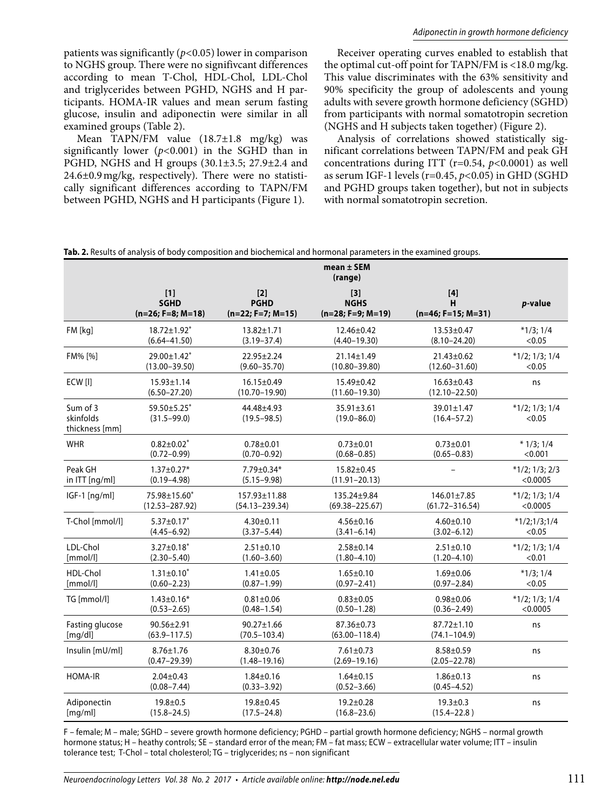patients was significantly (*p<*0.05) lower in comparison to NGHS group. There were no signifivcant differences according to mean T-Chol, HDL-Chol, LDL-Chol and triglycerides between PGHD, NGHS and H participants. HOMA-IR values and mean serum fasting glucose, insulin and adiponectin were similar in all examined groups (Table 2).

Mean TAPN/FM value (18.7±1.8 mg/kg) was significantly lower (*p<*0.001) in the SGHD than in PGHD, NGHS and H groups (30.1±3.5; 27.9±2.4 and 24.6±0.9 mg/kg, respectively). There were no statistically significant differences according to TAPN/FM between PGHD, NGHS and H participants (Figure 1).

Receiver operating curves enabled to establish that the optimal cut-off point for TAPN/FM is <18.0 mg/kg. This value discriminates with the 63% sensitivity and 90% specificity the group of adolescents and young adults with severe growth hormone deficiency (SGHD) from participants with normal somatotropin secretion (NGHS and H subjects taken together) (Figure 2).

Analysis of correlations showed statistically significant correlations between TAPN/FM and peak GH concentrations during ITT (r=0.54, *p<*0.0001) as well as serum IGF-1 levels (r=0.45, *p<*0.05) in GHD (SGHD and PGHD groups taken together), but not in subjects with normal somatotropin secretion.

**Tab. 2.** Results of analysis of body composition and biochemical and hormonal parameters in the examined groups.

|                                         | $mean \pm SEM$<br>(range)                   |                                           |                                                                        |                                       |                            |  |  |  |  |
|-----------------------------------------|---------------------------------------------|-------------------------------------------|------------------------------------------------------------------------|---------------------------------------|----------------------------|--|--|--|--|
|                                         | $[1]$<br><b>SGHD</b><br>$(n=26; F=8; M=18)$ | $[2]$<br><b>PGHD</b><br>(n=22; F=7; M=15) | $[3]$<br><b>NGHS</b><br>$(n=28; F=9; M=19)$                            | н<br>$(n=46; F=15; M=31)$             | <i>p</i> -value            |  |  |  |  |
| FM [kg]                                 | $18.72 \pm 1.92^*$                          | 13.82±1.71                                | 12.46±0.42                                                             | 13.53±0.47                            | $*1/3; 1/4$                |  |  |  |  |
|                                         | $(6.64 - 41.50)$                            | $(3.19 - 37.4)$                           | $(4.40 - 19.30)$                                                       | $(8.10 - 24.20)$                      | < 0.05                     |  |  |  |  |
| FM% [%]                                 | 29.00±1.42*                                 | $22.95 \pm 2.24$                          | $21.14 \pm 1.49$                                                       | $21.43 \pm 0.62$                      | $*1/2; 1/3; 1/4$           |  |  |  |  |
|                                         | $(13.00 - 39.50)$                           | $(9.60 - 35.70)$                          | $(10.80 - 39.80)$                                                      | $(12.60 - 31.60)$                     | < 0.05                     |  |  |  |  |
| ECW [I]                                 | $15.93 \pm 1.14$<br>$(6.50 - 27.20)$        | $16.15 \pm 0.49$<br>$(10.70 - 19.90)$     | 15.49±0.42<br>$(11.60 - 19.30)$                                        | $16.63 \pm 0.43$<br>$(12.10 - 22.50)$ | ns                         |  |  |  |  |
| Sum of 3<br>skinfolds<br>thickness [mm] | 59.50±5.25*<br>$(31.5 - 99.0)$              | 44.48±4.93<br>$(19.5 - 98.5)$             | 35.91±3.61<br>$(19.0 - 86.0)$                                          | 39.01±1.47<br>$(16.4 - 57.2)$         | $*1/2; 1/3; 1/4$<br>< 0.05 |  |  |  |  |
| <b>WHR</b>                              | $0.82 \pm 0.02^*$<br>$(0.72 - 0.99)$        | $0.78 + 0.01$<br>$(0.70 - 0.92)$          | $0.73 + 0.01$<br>$0.73 \pm 0.01$<br>$(0.68 - 0.85)$<br>$(0.65 - 0.83)$ |                                       | $*1/3;1/4$<br>< 0.001      |  |  |  |  |
| Peak GH                                 | $1.37 \pm 0.27*$                            | 7.79±0.34*                                | $15.82 \pm 0.45$                                                       |                                       | $*1/2; 1/3; 2/3$           |  |  |  |  |
| in ITT [ng/ml]                          | $(0.19 - 4.98)$                             | $(5.15 - 9.98)$                           | $(11.91 - 20.13)$                                                      |                                       | < 0.0005                   |  |  |  |  |
| IGF-1 [ng/ml]                           | 75.98±15.60*                                | 157.93±11.88                              | 135.24±9.84                                                            | 146.01±7.85                           | $*1/2; 1/3; 1/4$           |  |  |  |  |
|                                         | $(12.53 - 287.92)$                          | $(54.13 - 239.34)$                        | $(69.38 - 225.67)$                                                     | $(61.72 - 316.54)$                    | < 0.0005                   |  |  |  |  |
| T-Chol [mmol/l]                         | $5.37 \pm 0.17$ *                           | $4.30 \pm 0.11$                           | $4.56 \pm 0.16$                                                        | $4.60 \pm 0.10$                       | $*1/2;1/3;1/4$             |  |  |  |  |
|                                         | $(4.45 - 6.92)$                             | $(3.37 - 5.44)$                           | $(3.41 - 6.14)$                                                        | $(3.02 - 6.12)$                       | < 0.05                     |  |  |  |  |
| LDL-Chol                                | $3.27 \pm 0.18^*$                           | $2.51 \pm 0.10$                           | $2.58 \pm 0.14$                                                        | $2.51 \pm 0.10$                       | $*1/2; 1/3; 1/4$           |  |  |  |  |
| [mmol/l]                                | $(2.30 - 5.40)$                             | $(1.60 - 3.60)$                           | $(1.80 - 4.10)$                                                        | $(1.20 - 4.10)$                       | < 0.01                     |  |  |  |  |
| HDL-Chol                                | $1.31 \pm 0.10^*$                           | $1.41 \pm 0.05$                           | $1.65 \pm 0.10$                                                        | $1.69 \pm 0.06$                       | $*1/3$ ; $1/4$             |  |  |  |  |
| [mmol/l]                                | $(0.60 - 2.23)$                             | $(0.87 - 1.99)$                           | $(0.97 - 2.41)$                                                        | $(0.97 - 2.84)$                       | < 0.05                     |  |  |  |  |
| TG [mmol/l]                             | $1.43 \pm 0.16*$                            | $0.81 \pm 0.06$                           | $0.83 \pm 0.05$                                                        | $0.98 + 0.06$                         | $*1/2; 1/3; 1/4$           |  |  |  |  |
|                                         | $(0.53 - 2.65)$                             | $(0.48 - 1.54)$                           | $(0.50 - 1.28)$                                                        | $(0.36 - 2.49)$                       | < 0.0005                   |  |  |  |  |
| Fasting glucose                         | $90.56 \pm 2.91$                            | $90.27 \pm 1.66$                          | 87.36±0.73                                                             | $87.72 \pm 1.10$                      | ns                         |  |  |  |  |
| [mg/dl]                                 | $(63.9 - 117.5)$                            | $(70.5 - 103.4)$                          | $(63.00 - 118.4)$                                                      | $(74.1 - 104.9)$                      |                            |  |  |  |  |
| Insulin [mU/ml]                         | $8.76 \pm 1.76$<br>$(0.47 - 29.39)$         | $8.30 \pm 0.76$<br>$(1.48 - 19.16)$       | $7.61 \pm 0.73$<br>$(2.69 - 19.16)$                                    | $8.58 \pm 0.59$<br>$(2.05 - 22.78)$   | ns                         |  |  |  |  |
| <b>HOMA-IR</b>                          | $2.04 \pm 0.43$<br>$(0.08 - 7.44)$          | $1.84 \pm 0.16$<br>$(0.33 - 3.92)$        | $1.64 \pm 0.15$<br>$(0.52 - 3.66)$                                     | $1.86 \pm 0.13$<br>$(0.45 - 4.52)$    | ns                         |  |  |  |  |
| Adiponectin                             | $19.8 + 0.5$                                | $19.8 + 0.45$                             | $19.2 \pm 0.28$                                                        | $19.3 \pm 0.3$                        | ns                         |  |  |  |  |
| [mg/ml]                                 | $(15.8 - 24.5)$                             | $(17.5 - 24.8)$                           | $(16.8 - 23.6)$                                                        | $(15.4 - 22.8)$                       |                            |  |  |  |  |

F – female; M – male; SGHD – severe growth hormone deficiency; PGHD – partial growth hormone deficiency; NGHS – normal growth hormone status; H – heathy controls; SE – standard error of the mean; FM – fat mass; ECW – extracellular water volume; ITT – insulin tolerance test; T-Chol – total cholesterol; TG – triglycerides; ns – non significant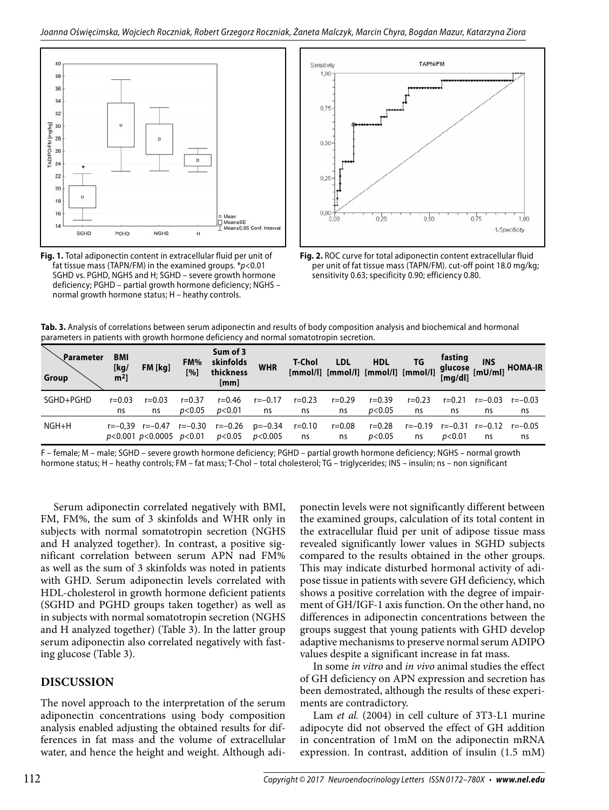

**Fig. 1.** Total adiponectin content in extracellular fluid per unit of fat tissue mass (TAPN/FM) in the examined groups.  $p$  < 0.01 SGHD vs. PGHD, NGHS and H; SGHD – severe growth hormone deficiency; PGHD – partial growth hormone deficiency; NGHS – normal growth hormone status; H – heathy controls.



**Fig. 2.** ROC curve for total adiponectin content extracellular fluid per unit of fat tissue mass (TAPN/FM). cut-off point 18.0 mg/kg; sensitivity 0.63; specificity 0.90; efficiency 0.80.

| Tab. 3. Analysis of correlations between serum adiponectin and results of body composition analysis and biochemical and hormonal |
|----------------------------------------------------------------------------------------------------------------------------------|
| parameters in patients with growth hormone deficiency and normal somatotropin secretion.                                         |

| <b>、Parameter</b><br>Group | <b>BMI</b><br>[kg/<br>$m2$ ] | $FM$ [ $kg$ ]                                        | FM%<br>[%] | Sum of 3<br>skinfolds<br>thickness<br>[mm] | <b>WHR</b>            | T-Chol           | <b>LDL</b>       | <b>HDL</b><br>[mmol/l] [mmol/l] [mmol/l] [mmol/l] | ΤG            | fasting           | <b>INS</b>    | glucose iver HOMA-IR<br>[mg/dl] [mU/ml] |
|----------------------------|------------------------------|------------------------------------------------------|------------|--------------------------------------------|-----------------------|------------------|------------------|---------------------------------------------------|---------------|-------------------|---------------|-----------------------------------------|
| SGHD+PGHD                  | $r = 0.03$                   | $r = 0.03$                                           | $r = 0.37$ | r=0.46                                     | $r = -0.17$           | $r = 0.23$       | $r = 0.29$       | $r = 0.39$                                        | $r = 0.23$    | $r = 0.21$        | $r = -0.03$   | $r = -0.03$                             |
|                            | ns                           | ns                                                   | p<0.05     | p< 0.01                                    | ns                    | ns               | ns               | p<0.05                                            | ns            | ns                | ns            | ns                                      |
| $NGH+H$                    |                              | $r=-0.39$ $r=-0.47$<br>$p<0.001$ $p<0.0005$ $p<0.01$ | r=–0.30    | r=-0.26<br>p<0.05                          | p=-0.34<br>$p<$ 0.005 | $r = 0.10$<br>ns | $r = 0.08$<br>ns | $r = 0.28$<br>p<0.05                              | r=-0.19<br>ns | r=-0.31<br>p<0.01 | r=-0.12<br>ns | $r = -0.05$<br>ns                       |

F – female; M – male; SGHD – severe growth hormone deficiency; PGHD – partial growth hormone deficiency; NGHS – normal growth hormone status; H – heathy controls; FM – fat mass; T-Chol – total cholesterol; TG – triglycerides; INS – insulin; ns – non significant

Serum adiponectin correlated negatively with BMI, FM, FM%, the sum of 3 skinfolds and WHR only in subjects with normal somatotropin secretion (NGHS and H analyzed together). In contrast, a positive significant correlation between serum APN nad FM% as well as the sum of 3 skinfolds was noted in patients with GHD. Serum adiponectin levels correlated with HDL-cholesterol in growth hormone deficient patients (SGHD and PGHD groups taken together) as well as in subjects with normal somatotropin secretion (NGHS and H analyzed together) (Table 3). In the latter group serum adiponectin also correlated negatively with fasting glucose (Table 3).

## **DISCUSSION**

The novel approach to the interpretation of the serum adiponectin concentrations using body composition analysis enabled adjusting the obtained results for differences in fat mass and the volume of extracellular water, and hence the height and weight. Although adiponectin levels were not significantly different between the examined groups, calculation of its total content in the extracellular fluid per unit of adipose tissue mass revealed significantly lower values in SGHD subjects compared to the results obtained in the other groups. This may indicate disturbed hormonal activity of adipose tissue in patients with severe GH deficiency, which shows a positive correlation with the degree of impairment of GH/IGF-1 axis function. On the other hand, no differences in adiponectin concentrations between the groups suggest that young patients with GHD develop adaptive mechanisms to preserve normal serum ADIPO values despite a significant increase in fat mass.

In some *in vitro* and *in vivo* animal studies the effect of GH deficiency on APN expression and secretion has been demostrated, although the results of these experiments are contradictory.

Lam *et al.* (2004) in cell culture of 3T3-L1 murine adipocyte did not observed the effect of GH addition in concentration of 1mM on the adiponectin mRNA expression. In contrast, addition of insulin (1.5 mM)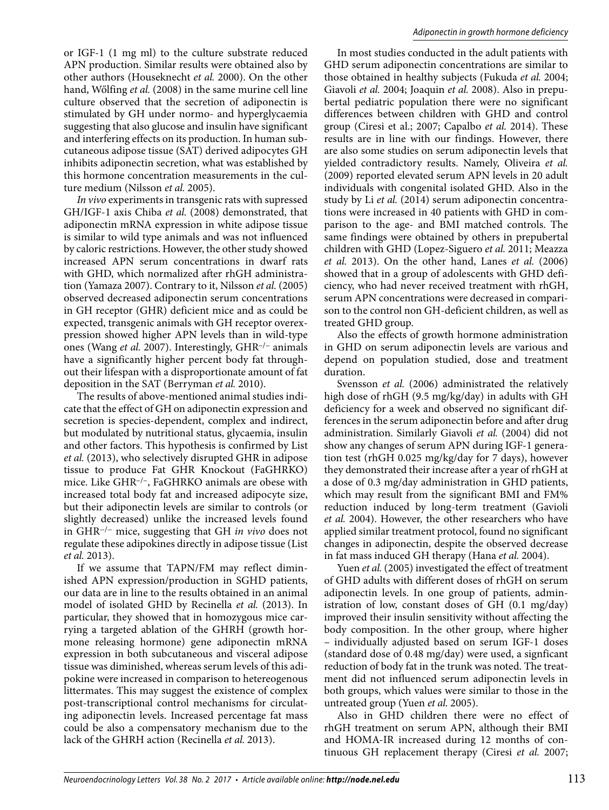or IGF-1 (1 mg ml) to the culture substrate reduced APN production. Similar results were obtained also by other authors (Houseknecht *et al.* 2000). On the other hand, Wőlfing *et al.* (2008) in the same murine cell line culture observed that the secretion of adiponectin is stimulated by GH under normo- and hyperglycaemia suggesting that also glucose and insulin have significant and interfering effects on its production. In human subcutaneous adipose tissue (SAT) derived adipocytes GH inhibits adiponectin secretion, what was established by this hormone concentration measurements in the culture medium (Nilsson *et al.* 2005).

*In vivo* experiments in transgenic rats with supressed GH/IGF-1 axis Chiba *et al.* (2008) demonstrated, that adiponectin mRNA expression in white adipose tissue is similar to wild type animals and was not influenced by caloric restrictions. However, the other study showed increased APN serum concentrations in dwarf rats with GHD, which normalized after rhGH administration (Yamaza 2007). Contrary to it, Nilsson *et al.* (2005) observed decreased adiponectin serum concentrations in GH receptor (GHR) deficient mice and as could be expected, transgenic animals with GH receptor overexpression showed higher APN levels than in wild-type ones (Wang *et al.* 2007). Interestingly, GHR–/– animals have a significantly higher percent body fat throughout their lifespan with a disproportionate amount of fat deposition in the SAT (Berryman *et al.* 2010).

The results of above-mentioned animal studies indicate that the effect of GH on adiponectin expression and secretion is species-dependent, complex and indirect, but modulated by nutritional status, glycaemia, insulin and other factors. This hypothesis is confirmed by List *et al.* (2013), who selectively disrupted GHR in adipose tissue to produce Fat GHR Knockout (FaGHRKO) mice. Like GHR–/–, FaGHRKO animals are obese with increased total body fat and increased adipocyte size, but their adiponectin levels are similar to controls (or slightly decreased) unlike the increased levels found in GHR−/− mice, suggesting that GH *in vivo* does not regulate these adipokines directly in adipose tissue (List *et al.* 2013).

If we assume that TAPN/FM may reflect diminished APN expression/production in SGHD patients, our data are in line to the results obtained in an animal model of isolated GHD by Recinella *et al.* (2013). In particular, they showed that in homozygous mice carrying a targeted ablation of the GHRH (growth hormone releasing hormone) gene adiponectin mRNA expression in both subcutaneous and visceral adipose tissue was diminished, whereas serum levels of this adipokine were increased in comparison to hetereogenous littermates. This may suggest the existence of complex post-transcriptional control mechanisms for circulating adiponectin levels. Increased percentage fat mass could be also a compensatory mechanism due to the lack of the GHRH action (Recinella *et al.* 2013).

In most studies conducted in the adult patients with GHD serum adiponectin concentrations are similar to those obtained in healthy subjects (Fukuda *et al.* 2004; Giavoli *et al.* 2004; Joaquin *et al.* 2008). Also in prepubertal pediatric population there were no significant differences between children with GHD and control group (Ciresi et al.; 2007; Capalbo *et al.* 2014). These results are in line with our findings. However, there are also some studies on serum adiponectin levels that yielded contradictory results. Namely, Oliveira *et al.*  (2009) reported elevated serum APN levels in 20 adult individuals with congenital isolated GHD. Also in the study by Li *et al.* (2014) serum adiponectin concentrations were increased in 40 patients with GHD in comparison to the age- and BMI matched controls. The same findings were obtained by others in prepubertal children with GHD (Lopez-Siguero *et al.* 2011; Meazza *et al.* 2013). On the other hand, Lanes *et al.* (2006) showed that in a group of adolescents with GHD deficiency, who had never received treatment with rhGH, serum APN concentrations were decreased in comparison to the control non GH-deficient children, as well as treated GHD group.

Also the effects of growth hormone administration in GHD on serum adiponectin levels are various and depend on population studied, dose and treatment duration.

Svensson *et al.* (2006) administrated the relatively high dose of rhGH (9.5 mg/kg/day) in adults with GH deficiency for a week and observed no significant differences in the serum adiponectin before and after drug administration. Similarly Giavoli *et al.* (2004) did not show any changes of serum APN during IGF-1 generation test (rhGH 0.025 mg/kg/day for 7 days), however they demonstrated their increase after a year of rhGH at a dose of 0.3 mg/day administration in GHD patients, which may result from the significant BMI and FM% reduction induced by long-term treatment (Gavioli *et al.* 2004). However, the other researchers who have applied similar treatment protocol, found no significant changes in adiponectin, despite the observed decrease in fat mass induced GH therapy (Hana *et al.* 2004).

Yuen et al. (2005) investigated the effect of treatment of GHD adults with different doses of rhGH on serum adiponectin levels. In one group of patients, administration of low, constant doses of GH (0.1 mg/day) improved their insulin sensitivity without affecting the body composition. In the other group, where higher – individually adjusted based on serum IGF-1 doses (standard dose of 0.48 mg/day) were used, a signficant reduction of body fat in the trunk was noted. The treatment did not influenced serum adiponectin levels in both groups, which values were similar to those in the untreated group (Yuen *et al.* 2005).

Also in GHD children there were no effect of rhGH treatment on serum APN, although their BMI and HOMA-IR increased during 12 months of continuous GH replacement therapy (Ciresi *et al.* 2007;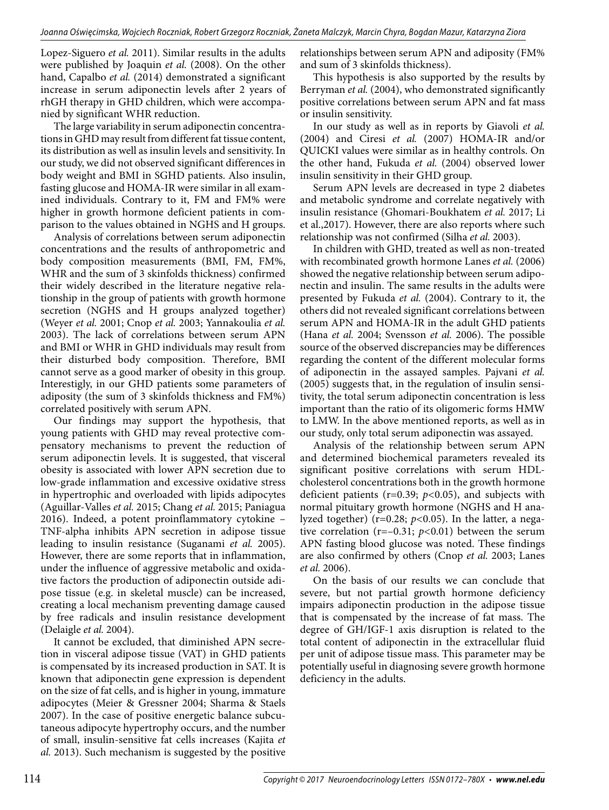Lopez-Siguero *et al.* 2011). Similar results in the adults were published by Joaquin *et al.* (2008). On the other hand, Capalbo *et al.* (2014) demonstrated a significant increase in serum adiponectin levels after 2 years of rhGH therapy in GHD children, which were accompanied by significant WHR reduction.

The large variability in serum adiponectin concentrations in GHD may result from different fat tissue content, its distribution as well as insulin levels and sensitivity. In our study, we did not observed significant differences in body weight and BMI in SGHD patients. Also insulin, fasting glucose and HOMA-IR were similar in all examined individuals. Contrary to it, FM and FM% were higher in growth hormone deficient patients in comparison to the values obtained in NGHS and H groups.

Analysis of correlations between serum adiponectin concentrations and the results of anthropometric and body composition measurements (BMI, FM, FM%, WHR and the sum of 3 skinfolds thickness) confirmed their widely described in the literature negative relationship in the group of patients with growth hormone secretion (NGHS and H groups analyzed together) (Weyer *et al.* 2001; Cnop *et al.* 2003; Yannakoulia *et al.*  2003). The lack of correlations between serum APN and BMI or WHR in GHD individuals may result from their disturbed body composition. Therefore, BMI cannot serve as a good marker of obesity in this group. Interestigly, in our GHD patients some parameters of adiposity (the sum of 3 skinfolds thickness and FM%) correlated positively with serum APN.

Our findings may support the hypothesis, that young patients with GHD may reveal protective compensatory mechanisms to prevent the reduction of serum adiponectin levels. It is suggested, that visceral obesity is associated with lower APN secretion due to low-grade inflammation and excessive oxidative stress in hypertrophic and overloaded with lipids adipocytes (Aguillar-Valles *et al.* 2015; Chang *et al.* 2015; Paniagua 2016). Indeed, a potent proinflammatory cytokine – TNF-alpha inhibits APN secretion in adipose tissue leading to insulin resistance (Suganami *et al.* 2005). However, there are some reports that in inflammation, under the influence of aggressive metabolic and oxidative factors the production of adiponectin outside adipose tissue (e.g. in skeletal muscle) can be increased, creating a local mechanism preventing damage caused by free radicals and insulin resistance development (Delaigle *et al.* 2004).

It cannot be excluded, that diminished APN secretion in visceral adipose tissue (VAT) in GHD patients is compensated by its increased production in SAT. It is known that adiponectin gene expression is dependent on the size of fat cells, and is higher in young, immature adipocytes (Meier & Gressner 2004; Sharma & Staels 2007). In the case of positive energetic balance subcutaneous adipocyte hypertrophy occurs, and the number of small, insulin-sensitive fat cells increases (Kajita *et al.* 2013). Such mechanism is suggested by the positive relationships between serum APN and adiposity (FM% and sum of 3 skinfolds thickness).

This hypothesis is also supported by the results by Berryman *et al.* (2004), who demonstrated significantly positive correlations between serum APN and fat mass or insulin sensitivity.

In our study as well as in reports by Giavoli *et al.*  (2004) and Ciresi *et al.* (2007) HOMA-IR and/or QUICKI values were similar as in healthy controls. On the other hand, Fukuda *et al.* (2004) observed lower insulin sensitivity in their GHD group.

Serum APN levels are decreased in type 2 diabetes and metabolic syndrome and correlate negatively with insulin resistance (Ghomari-Boukhatem *et al.* 2017; Li et al.,2017). However, there are also reports where such relationship was not confirmed (Silha *et al.* 2003).

In children with GHD, treated as well as non-treated with recombinated growth hormone Lanes *et al.* (2006) showed the negative relationship between serum adiponectin and insulin. The same results in the adults were presented by Fukuda *et al.* (2004). Contrary to it, the others did not revealed significant correlations between serum APN and HOMA-IR in the adult GHD patients (Hana *et al.* 2004; Svensson *et al.* 2006). The possible source of the observed discrepancies may be differences regarding the content of the different molecular forms of adiponectin in the assayed samples. Pajvani *et al.*  (2005) suggests that, in the regulation of insulin sensitivity, the total serum adiponectin concentration is less important than the ratio of its oligomeric forms HMW to LMW. In the above mentioned reports, as well as in our study, only total serum adiponectin was assayed.

Analysis of the relationship between serum APN and determined biochemical parameters revealed its significant positive correlations with serum HDLcholesterol concentrations both in the growth hormone deficient patients (r=0.39; *p<*0.05), and subjects with normal pituitary growth hormone (NGHS and H analyzed together) (r=0.28; *p<*0.05). In the latter, a negative correlation (r=–0.31; *p<*0.01) between the serum APN fasting blood glucose was noted. These findings are also confirmed by others (Cnop *et al.* 2003; Lanes *et al.* 2006).

On the basis of our results we can conclude that severe, but not partial growth hormone deficiency impairs adiponectin production in the adipose tissue that is compensated by the increase of fat mass. The degree of GH/IGF-1 axis disruption is related to the total content of adiponectin in the extracellular fluid per unit of adipose tissue mass. This parameter may be potentially useful in diagnosing severe growth hormone deficiency in the adults.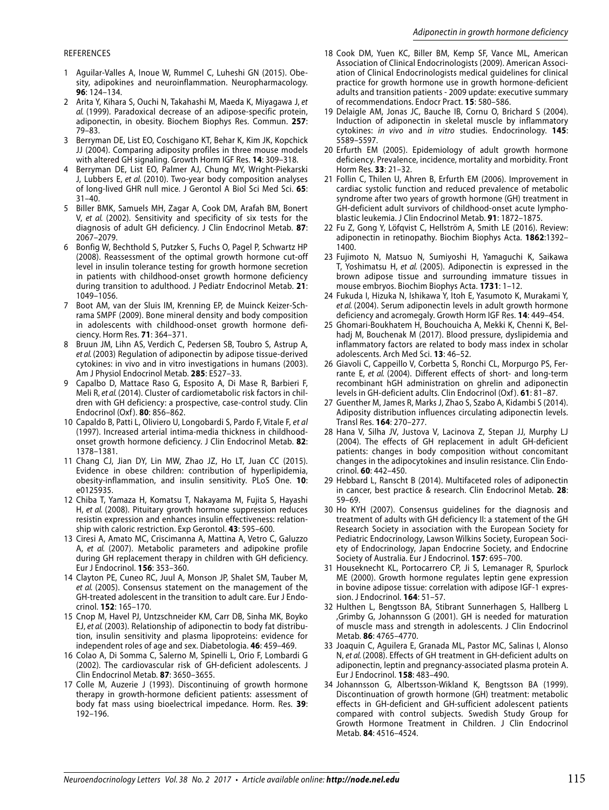#### REFERENCES

- 1 Aguilar-Valles A, Inoue W, Rummel C, Luheshi GN (2015). Obesity, adipokines and neuroinflammation. Neuropharmacology. **96**: 124–134.
- 2 Arita Y, Kihara S, Ouchi N, Takahashi M, Maeda K, Miyagawa J, et al. (1999). Paradoxical decrease of an adipose-specific protein, adiponectin, in obesity. Biochem Biophys Res. Commun. **257**: 79–83.
- 3 Berryman DE, List EO, Coschigano KT, Behar K, Kim JK, Kopchick JJ (2004). Comparing adiposity profiles in three mouse models with altered GH signaling. Growth Horm IGF Res. **14**: 309–318.
- 4 Berryman DE, List EO, Palmer AJ, Chung MY, Wright-Piekarski J, Lubbers E, et al. (2010). Two-year body composition analyses of long-lived GHR null mice. J Gerontol A Biol Sci Med Sci. **65**: 31–40.
- 5 Biller BMK, Samuels MH, Zagar A, Cook DM, Arafah BM, Bonert V, et al. (2002). Sensitivity and specificity of six tests for the diagnosis of adult GH deficiency. J Clin Endocrinol Metab. **87**: 2067–2079.
- 6 Bonfig W, Bechthold S, Putzker S, Fuchs O, Pagel P, Schwartz HP (2008). Reassessment of the optimal growth hormone cut-off level in insulin tolerance testing for growth hormone secretion in patients with childhood-onset growth hormone deficiency during transition to adulthood. J Pediatr Endocrinol Metab. **21**: 1049–1056.
- 7 Boot AM, van der Sluis IM, Krenning EP, de Muinck Keizer-Schrama SMPF (2009). Bone mineral density and body composition in adolescents with childhood-onset growth hormone deficiency. Horm Res. **71**: 364–371.
- 8 Bruun JM, Lihn AS, Verdich C, Pedersen SB, Toubro S, Astrup A, et al. (2003) Regulation of adiponectin by adipose tissue-derived cytokines: in vivo and in vitro investigations in humans (2003). Am J Physiol Endocrinol Metab. **285**: E527–33.
- 9 Capalbo D, Mattace Raso G, Esposito A, Di Mase R, Barbieri F, Meli R, et al. (2014). Cluster of cardiometabolic risk factors in children with GH deficiency: a prospective, case-control study. Clin Endocrinol (Oxf ). **80**: 856–862.
- 10 Capaldo B, Patti L, Oliviero U, Longobardi S, Pardo F, Vitale F, et al (1997). Increased arterial intima-media thickness in childhoodonset growth hormone deficiency. J Clin Endocrinol Metab. **82**: 1378–1381.
- 11 Chang CJ, Jian DY, Lin MW, Zhao JZ, Ho LT, Juan CC (2015). Evidence in obese children: contribution of hyperlipidemia, obesity-inflammation, and insulin sensitivity. PLoS One. **10**: e0125935.
- 12 Chiba T, Yamaza H, Komatsu T, Nakayama M, Fujita S, Hayashi H, et al. (2008). Pituitary growth hormone suppression reduces resistin expression and enhances insulin effectiveness: relationship with caloric restriction. Exp Gerontol. **43**: 595–600.
- 13 Ciresi A, Amato MC, Criscimanna A, Mattina A, Vetro C, Galuzzo A, et al. (2007). Metabolic parameters and adipokine profile during GH replacement therapy in children with GH deficiency. Eur J Endocrinol. **156**: 353–360.
- 14 Clayton PE, Cuneo RC, Juul A, Monson JP, Shalet SM, Tauber M, et al. (2005). Consensus statement on the management of the GH-treated adolescent in the transition to adult care. Eur J Endocrinol. **152**: 165–170.
- 15 Cnop M, Havel PJ, Untzschneider KM, Carr DB, Sinha MK, Boyko EJ, et al. (2003). Relationship of adiponectin to body fat distribution, insulin sensitivity and plasma lipoproteins: evidence for independent roles of age and sex. Diabetologia. **46**: 459–469.
- 16 Colao A, Di Somma C, Salerno M, Spinelli L, Orio F, Lombardi G (2002). The cardiovascular risk of GH-deficient adolescents. J Clin Endocrinol Metab. **87**: 3650–3655.
- 17 Colle M, Auzerie J (1993). Discontinuing of growth hormone therapy in growth-hormone deficient patients: assessment of body fat mass using bioelectrical impedance. Horm. Res. **39**: 192–196.
- 18 Cook DM, Yuen KC, Biller BM, Kemp SF, Vance ML, American Association of Clinical Endocrinologists (2009). American Association of Clinical Endocrinologists medical guidelines for clinical practice for growth hormone use in growth hormone-deficient adults and transition patients - 2009 update: executive summary of recommendations. Endocr Pract. **15**: 580–586.
- 19 Delaigle AM, Jonas JC, Bauche IB, Cornu O, Brichard S (2004). Induction of adiponectin in skeletal muscle by inflammatory cytokines: in vivo and in vitro studies. Endocrinology. **145**: 5589–5597.
- 20 Erfurth EM (2005). Epidemiology of adult growth hormone deficiency. Prevalence, incidence, mortality and morbidity. Front Horm Res. **33**: 21–32.
- 21 Follin C, Thilen U, Ahren B, Erfurth EM (2006). Improvement in cardiac systolic function and reduced prevalence of metabolic syndrome after two years of growth hormone (GH) treatment in GH-deficient adult survivors of childhood-onset acute lymphoblastic leukemia. J Clin Endocrinol Metab. **91**: 1872–1875.
- 22 Fu Z, Gong Y, Löfqvist C, Hellström A, Smith LE (2016). Review: adiponectin in retinopathy. Biochim Biophys Acta. **1862**:1392– 1400.
- 23 Fujimoto N, Matsuo N, Sumiyoshi H, Yamaguchi K, Saikawa T, Yoshimatsu H, et al. (2005). Adiponectin is expressed in the brown adipose tissue and surrounding immature tissues in mouse embryos. Biochim Biophys Acta. **1731**: 1–12.
- 24 Fukuda I, Hizuka N, Ishikawa Y, Itoh E, Yasumoto K, Murakami Y, et al. (2004). Serum adiponectin levels in adult growth hormone deficiency and acromegaly. Growth Horm IGF Res. **14**: 449–454.
- 25 Ghomari-Boukhatem H, Bouchouicha A, Mekki K, Chenni K, Belhadj M, Bouchenak M (2017). Blood pressure, dyslipidemia and inflammatory factors are related to body mass index in scholar adolescents. Arch Med Sci. **13**: 46–52.
- 26 Giavoli C, Cappeillo V, Corbetta S, Ronchi CL, Morpurgo PS, Ferrante E, et al. (2004). Different effects of short- and long-term recombinant hGH administration on ghrelin and adiponectin levels in GH-deficient adults. Clin Endocrinol (Oxf). **61**: 81-87.
- 27 Guenther M, James R, Marks J, Zhao S, Szabo A, Kidambi S (2014). Adiposity distribution influences circulating adiponectin levels. Transl Res. **164**: 270–277.
- 28 Hana V, Silha JV, Justova V, Lacinova Z, Stepan JJ, Murphy LJ (2004). The effects of GH replacement in adult GH-deficient patients: changes in body composition without concomitant changes in the adipocytokines and insulin resistance. Clin Endocrinol. **60**: 442–450.
- 29 Hebbard L, Ranscht B (2014). Multifaceted roles of adiponectin in cancer, best practice & research. Clin Endocrinol Metab. **28**: 59–69.
- 30 Ho KYH (2007). Consensus guidelines for the diagnosis and treatment of adults with GH deficiency II: a statement of the GH Research Society in association with the European Society for Pediatric Endocrinology, Lawson Wilkins Society, European Society of Endocrinology, Japan Endocrine Society, and Endocrine Society of Australia. Eur J Endocrinol. **157**: 695–700.
- 31 Houseknecht KL, Portocarrero CP, Ji S, Lemanager R, Spurlock ME (2000). Growth hormone regulates leptin gene expression in bovine adipose tissue: correlation with adipose IGF-1 expression. J Endocrinol. **164**: 51–57.
- 32 Hulthen L, Bengtsson BA, Stibrant Sunnerhagen S, Hallberg L ,Grimby G, Johannsson G (2001). GH is needed for maturation of muscle mass and strength in adolescents. J Clin Endocrinol Metab. **86**: 4765–4770.
- 33 Joaquin C, Aguilera E, Granada ML, Pastor MC, Salinas I, Alonso N, et al. (2008). Effects of GH treatment in GH-deficient adults on adiponectin, leptin and pregnancy-associated plasma protein A. Eur J Endocrinol. **158**: 483–490.
- 34 Johannsson G, Albertsson-Wikland K, Bengtsson BA (1999). Discontinuation of growth hormone (GH) treatment: metabolic effects in GH-deficient and GH-sufficient adolescent patients compared with control subjects. Swedish Study Group for Growth Hormone Treatment in Children. J Clin Endocrinol Metab. **84**: 4516–4524.